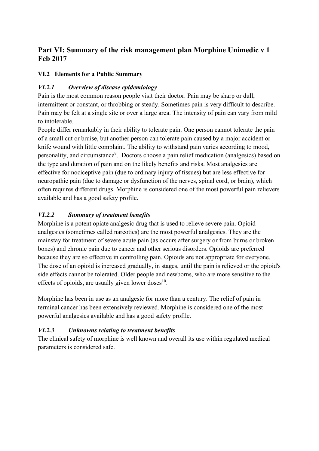# **Part VI: Summary of the risk management plan Morphine Unimedic v 1 Feb 2017**

### **VI.2 Elements for a Public Summary**

### *VI.2.1 Overview of disease epidemiology*

Pain is the most common reason people visit their doctor. Pain may be sharp or dull, intermittent or constant, or throbbing or steady. Sometimes pain is very difficult to describe. Pain may be felt at a single site or over a large area. The intensity of pain can vary from mild to intolerable.

People differ remarkably in their ability to tolerate pain. One person cannot tolerate the pain of a small cut or bruise, but another person can tolerate pain caused by a major accident or knife wound with little complaint. The ability to withstand pain varies according to mood, personality, and circumstance<sup>9</sup>. Doctors choose a pain relief medication (analgesics) based on the type and duration of pain and on the likely benefits and risks. Most analgesics are effective for nociceptive pain (due to ordinary injury of tissues) but are less effective for neuropathic pain (due to damage or dysfunction of the nerves, spinal cord, or brain), which often requires different drugs. Morphine is considered one of the most powerful pain relievers available and has a good safety profile.

## *VI.2.2 Summary of treatment benefits*

Morphine is a potent opiate analgesic drug that is used to relieve severe pain. Opioid analgesics (sometimes called narcotics) are the most powerful analgesics. They are the mainstay for treatment of severe acute pain (as occurs after surgery or from burns or broken bones) and chronic pain due to cancer and other serious disorders. Opioids are preferred because they are so effective in controlling pain. Opioids are not appropriate for everyone. The dose of an opioid is increased gradually, in stages, until the pain is relieved or the opioid's side effects cannot be tolerated. Older people and newborns, who are more sensitive to the effects of opioids, are usually given lower doses<sup>10</sup>.

Morphine has been in use as an analgesic for more than a century. The relief of pain in terminal cancer has been extensively reviewed. Morphine is considered one of the most powerful analgesics available and has a good safety profile.

#### *VI.2.3 Unknowns relating to treatment benefits*

The clinical safety of morphine is well known and overall its use within regulated medical parameters is considered safe.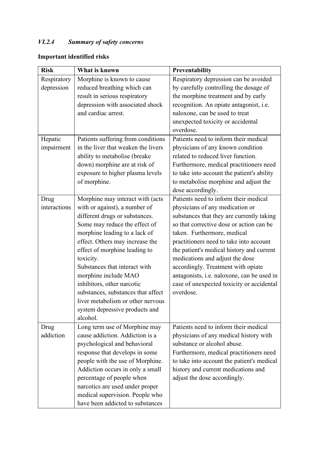# *VI.2.4 Summary of safety concerns*

# **Important identified risks**

| <b>Risk</b>  | What is known                       | Preventability                             |
|--------------|-------------------------------------|--------------------------------------------|
| Respiratory  | Morphine is known to cause          | Respiratory depression can be avoided      |
| depression   | reduced breathing which can         | by carefully controlling the dosage of     |
|              | result in serious respiratory       | the morphine treatment and by early        |
|              | depression with associated shock    | recognition. An opiate antagonist, i.e.    |
|              | and cardiac arrest.                 | naloxone, can be used to treat             |
|              |                                     | unexpected toxicity or accidental          |
|              |                                     | overdose.                                  |
| Hepatic      | Patients suffering from conditions  | Patients need to inform their medical      |
| impairment   | in the liver that weaken the livers | physicians of any known condition          |
|              | ability to metabolise (breake       | related to reduced liver function.         |
|              | down) morphine are at risk of       | Furthermore, medical practitioners need    |
|              | exposure to higher plasma levels    | to take into account the patient's ability |
|              | of morphine.                        | to metabolise morphine and adjust the      |
|              |                                     | dose accordingly.                          |
| Drug         | Morphine may interact with (acts    | Patients need to inform their medical      |
| interactions | with or against), a number of       | physicians of any medication or            |
|              | different drugs or substances.      | substances that they are currently taking  |
|              | Some may reduce the effect of       | so that corrective dose or action can be   |
|              | morphine leading to a lack of       | taken. Furthermore, medical                |
|              | effect. Others may increase the     | practitioners need to take into account    |
|              | effect of morphine leading to       | the patient's medical history and current  |
|              | toxicity.                           | medications and adjust the dose            |
|              | Substances that interact with       | accordingly. Treatment with opiate         |
|              | morphine include MAO                | antagonists, i.e. naloxone, can be used in |
|              | inhibitors, other narcotic          | case of unexpected toxicity or accidental  |
|              | substances, substances that affect  | overdose.                                  |
|              | liver metabolism or other nervous   |                                            |
|              | system depressive products and      |                                            |
|              | alcohol.                            |                                            |
| Drug         | Long term use of Morphine may       | Patients need to inform their medical      |
| addiction    | cause addiction. Addiction is a     | physicians of any medical history with     |
|              | psychological and behavioral        | substance or alcohol abuse.                |
|              | response that develops in some      | Furthermore, medical practitioners need    |
|              | people with the use of Morphine.    | to take into account the patient's medical |
|              | Addiction occurs in only a small    | history and current medications and        |
|              | percentage of people when           | adjust the dose accordingly.               |
|              | narcotics are used under proper     |                                            |
|              | medical supervision. People who     |                                            |
|              | have been addicted to substances    |                                            |